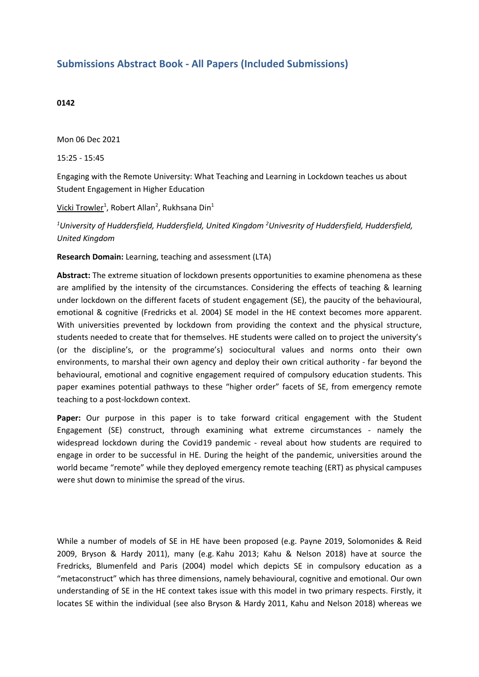## **Submissions Abstract Book - All Papers (Included Submissions)**

## **0142**

Mon 06 Dec 2021

15:25 - 15:45

Engaging with the Remote University: What Teaching and Learning in Lockdown teaches us about Student Engagement in Higher Education

Vicki Trowler<sup>1</sup>, Robert Allan<sup>2</sup>, Rukhsana Din<sup>1</sup>

*1 University of Huddersfield, Huddersfield, United Kingdom <sup>2</sup> Univesrity of Huddersfield, Huddersfield, United Kingdom*

**Research Domain:** Learning, teaching and assessment (LTA)

**Abstract:** The extreme situation of lockdown presents opportunities to examine phenomena as these are amplified by the intensity of the circumstances. Considering the effects of teaching & learning under lockdown on the different facets of student engagement (SE), the paucity of the behavioural, emotional & cognitive (Fredricks et al. 2004) SE model in the HE context becomes more apparent. With universities prevented by lockdown from providing the context and the physical structure, students needed to create that for themselves. HE students were called on to project the university's (or the discipline's, or the programme's) sociocultural values and norms onto their own environments, to marshal their own agency and deploy their own critical authority - far beyond the behavioural, emotional and cognitive engagement required of compulsory education students. This paper examines potential pathways to these "higher order" facets of SE, from emergency remote teaching to <sup>a</sup> post-lockdown context.

**Paper:** Our purpose in this paper is to take forward critical engagement with the Student Engagement (SE) construct, through examining what extreme circumstances - namely the widespread lockdown during the Covid19 pandemic - reveal about how students are required to engage in order to be successful in HE. During the height of the pandemic, universities around the world became "remote" while they deployed emergency remote teaching (ERT) as physical campuses were shut down to minimise the spread of the virus.

While <sup>a</sup> number of models of SE in HE have been proposed (e.g. Payne 2019, Solomonides & Reid 2009, Bryson & Hardy 2011), many (e.g. Kahu 2013; Kahu & Nelson 2018) have at source the Fredricks, Blumenfeld and Paris (2004) model which depicts SE in compulsory education as <sup>a</sup> "metaconstruct" which has three dimensions, namely behavioural, cognitive and emotional. Our own understanding of SE in the HE context takes issue with this model in two primary respects. Firstly, it locates SE within the individual (see also Bryson & Hardy 2011, Kahu and Nelson 2018) whereas we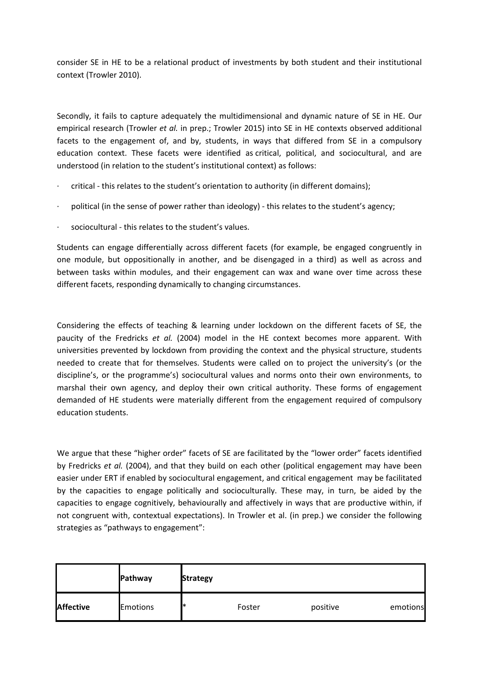consider SE in HE to be <sup>a</sup> relational product of investments by both student and their institutional context (Trowler 2010).

Secondly, it fails to capture adequately the multidimensional and dynamic nature of SE in HE. Our empirical research (Trowler *et al.* in prep.; Trowler 2015) into SE in HE contexts observed additional facets to the engagement of, and by, students, in ways that differed from SE in <sup>a</sup> compulsory education context. These facets were identified as critical, political, and sociocultural, and are understood (in relation to the student's institutional context) as follows:

- · critical this relates to the student's orientation to authority (in different domains);
- political (in the sense of power rather than ideology) this relates to the student's agency;
- · sociocultural this relates to the student's values.

Students can engage differentially across different facets (for example, be engaged congruently in one module, but oppositionally in another, and be disengaged in <sup>a</sup> third) as well as across and between tasks within modules, and their engagement can wax and wane over time across these different facets, responding dynamically to changing circumstances.

Considering the effects of teaching & learning under lockdown on the different facets of SE, the paucity of the Fredricks *et al.* (2004) model in the HE context becomes more apparent. With universities prevented by lockdown from providing the context and the physical structure, students needed to create that for themselves. Students were called on to project the university's (or the discipline's, or the programme's) sociocultural values and norms onto their own environments, to marshal their own agency, and deploy their own critical authority. These forms of engagement demanded of HE students were materially different from the engagement required of compulsory education students.

We argue that these "higher order" facets of SE are facilitated by the "lower order" facets identified by Fredricks *et al.* (2004), and that they build on each other (political engagement may have been easier under ERT if enabled by sociocultural engagement, and critical engagement may be facilitated by the capacities to engage politically and socioculturally. These may, in turn, be aided by the capacities to engage cognitively, behaviourally and affectively in ways that are productive within, if not congruent with, contextual expectations). In Trowler et al. (in prep.) we consider the following strategies as "pathways to engagement":

|           | Pathway         | Strategy |        |          |          |
|-----------|-----------------|----------|--------|----------|----------|
| Affective | <b>Emotions</b> | I∗       | Foster | positive | emotions |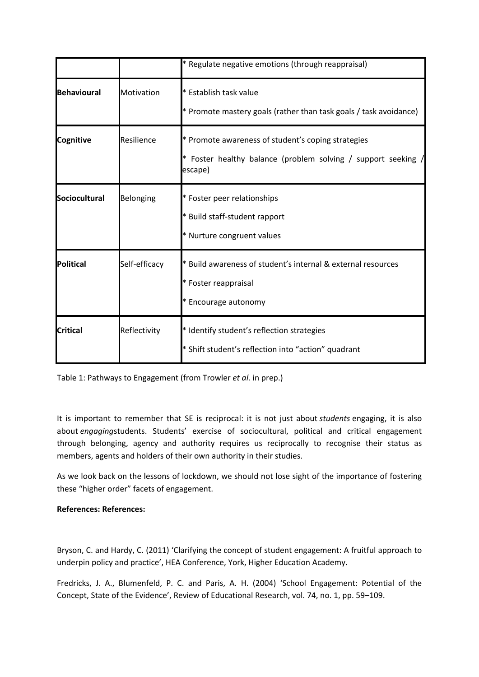|                    |               | * Regulate negative emotions (through reappraisal)                                                                              |  |
|--------------------|---------------|---------------------------------------------------------------------------------------------------------------------------------|--|
| <b>Behavioural</b> | Motivation    | <sup>*</sup> Establish task value<br>* Promote mastery goals (rather than task goals / task avoidance)                          |  |
| Cognitive          | Resilience    | * Promote awareness of student's coping strategies<br> * Foster healthy balance (problem solving / support seeking /<br>escape) |  |
| Sociocultural      | Belonging     | * Foster peer relationships<br>* Build staff-student rapport<br>* Nurture congruent values                                      |  |
| Political          | Self-efficacy | * Build awareness of student's internal & external resources<br>* Foster reappraisal<br>* Encourage autonomy                    |  |
| <b>Critical</b>    | Reflectivity  | * Identify student's reflection strategies<br>* Shift student's reflection into "action" quadrant                               |  |

Table 1: Pathways to Engagement (from Trowler *et al.* in prep.)

It is important to remember that SE is reciprocal: it is not just about *students* engaging, it is also about *engaging*students. Students' exercise of sociocultural, political and critical engagement through belonging, agency and authority requires us reciprocally to recognise their status as members, agents and holders of their own authority in their studies.

As we look back on the lessons of lockdown, we should not lose sight of the importance of fostering these "higher order" facets of engagement.

## **References: References:**

Bryson, C. and Hardy, C. (2011) 'Clarifying the concept of student engagement: A fruitful approach to underpin policy and practice', HEA Conference, York, Higher Education Academy.

Fredricks, J. A., Blumenfeld, P. C. and Paris, A. H. (2004) 'School Engagement: Potential of the Concept, State of the Evidence', Review of Educational Research, vol. 74, no. 1, pp. 59–109.